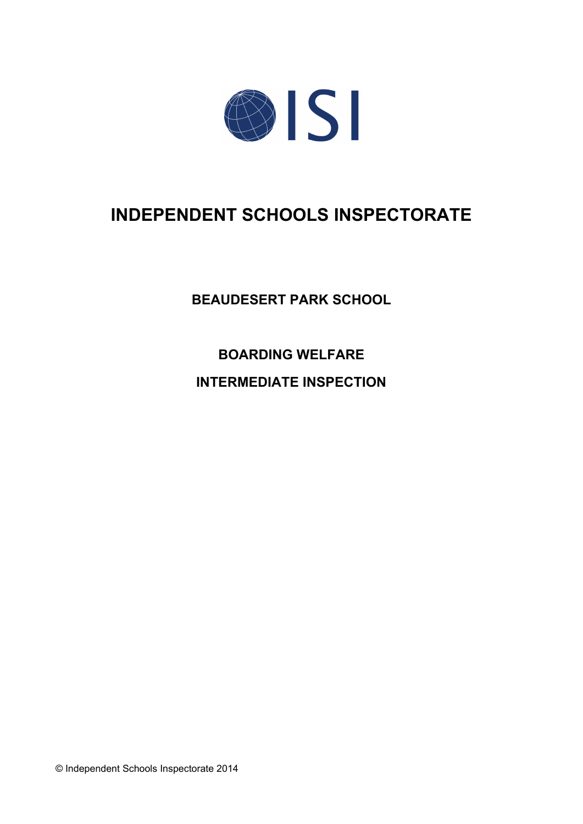

# **INDEPENDENT SCHOOLS INSPECTORATE**

**BEAUDESERT PARK SCHOOL**

**BOARDING WELFARE**

**INTERMEDIATE INSPECTION**

© Independent Schools Inspectorate 2014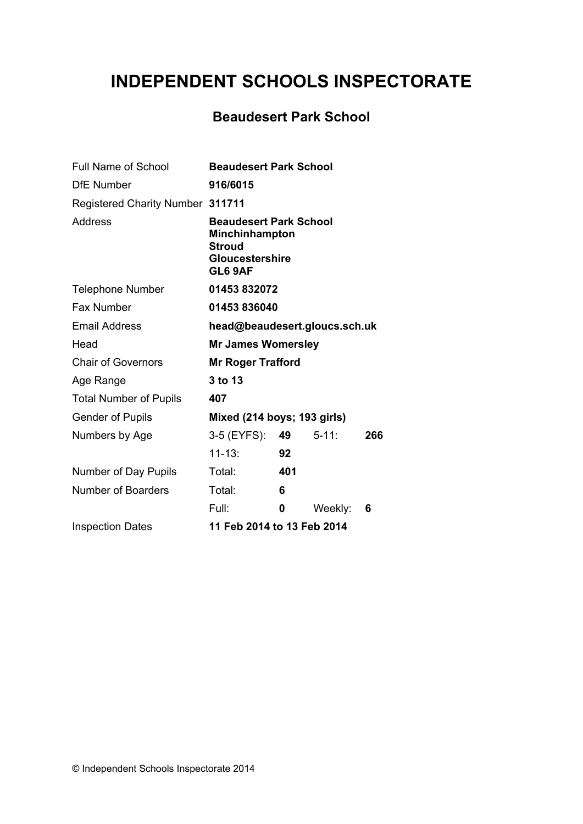# **INDEPENDENT SCHOOLS INSPECTORATE**

## **Beaudesert Park School**

| <b>Full Name of School</b>              | <b>Beaudesert Park School</b>                                                                         |     |            |     |  |
|-----------------------------------------|-------------------------------------------------------------------------------------------------------|-----|------------|-----|--|
| <b>DfE</b> Number                       | 916/6015                                                                                              |     |            |     |  |
| <b>Registered Charity Number 311711</b> |                                                                                                       |     |            |     |  |
| Address                                 | <b>Beaudesert Park School</b><br>Minchinhampton<br><b>Stroud</b><br><b>Gloucestershire</b><br>GL6 9AF |     |            |     |  |
| <b>Telephone Number</b>                 | 01453832072                                                                                           |     |            |     |  |
| <b>Fax Number</b>                       | 01453836040                                                                                           |     |            |     |  |
| <b>Email Address</b>                    | head@beaudesert.gloucs.sch.uk                                                                         |     |            |     |  |
| Head                                    | <b>Mr James Womersley</b>                                                                             |     |            |     |  |
| <b>Chair of Governors</b>               | <b>Mr Roger Trafford</b>                                                                              |     |            |     |  |
| Age Range                               | 3 to 13                                                                                               |     |            |     |  |
| <b>Total Number of Pupils</b>           | 407                                                                                                   |     |            |     |  |
| <b>Gender of Pupils</b>                 | Mixed (214 boys; 193 girls)                                                                           |     |            |     |  |
| Numbers by Age                          | 3-5 (EYFS):                                                                                           | 49  | $5 - 11$ : | 266 |  |
|                                         | $11 - 13:$                                                                                            | 92  |            |     |  |
| Number of Day Pupils                    | Total:                                                                                                | 401 |            |     |  |
| <b>Number of Boarders</b>               | Total:                                                                                                | 6   |            |     |  |
|                                         | Full:                                                                                                 | 0   | Weekly:    | 6   |  |
| <b>Inspection Dates</b>                 | 11 Feb 2014 to 13 Feb 2014                                                                            |     |            |     |  |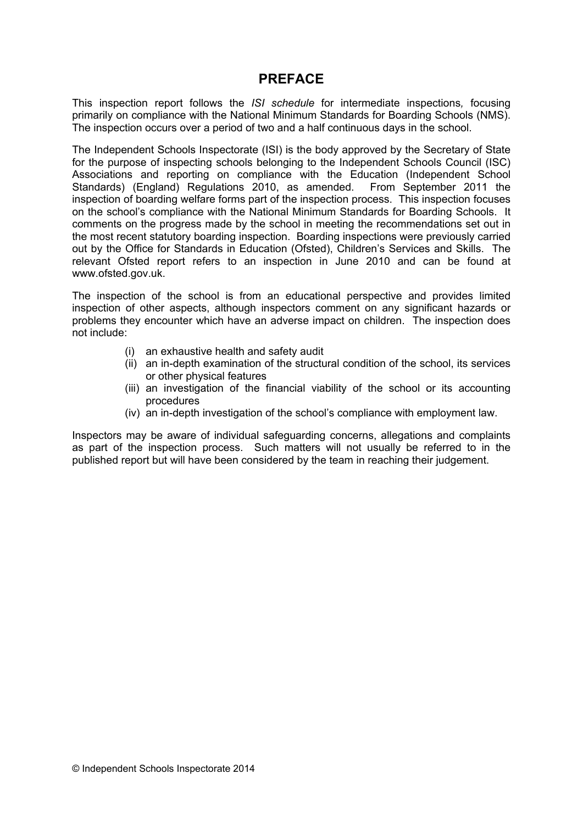## **PREFACE**

This inspection report follows the *ISI schedule* for intermediate inspections*,* focusing primarily on compliance with the National Minimum Standards for Boarding Schools (NMS). The inspection occurs over a period of two and a half continuous days in the school.

The Independent Schools Inspectorate (ISI) is the body approved by the Secretary of State for the purpose of inspecting schools belonging to the Independent Schools Council (ISC) Associations and reporting on compliance with the Education (Independent School Standards) (England) Regulations 2010, as amended. From September 2011 the inspection of boarding welfare forms part of the inspection process. This inspection focuses on the school's compliance with the National Minimum Standards for Boarding Schools. It comments on the progress made by the school in meeting the recommendations set out in the most recent statutory boarding inspection. Boarding inspections were previously carried out by the Office for Standards in Education (Ofsted), Children's Services and Skills. The relevant Ofsted report refers to an inspection in June 2010 and can be found at www.ofsted.gov.uk.

The inspection of the school is from an educational perspective and provides limited inspection of other aspects, although inspectors comment on any significant hazards or problems they encounter which have an adverse impact on children. The inspection does not include:

- (i) an exhaustive health and safety audit
- (ii) an in-depth examination of the structural condition of the school, its services or other physical features
- (iii) an investigation of the financial viability of the school or its accounting procedures
- (iv) an in-depth investigation of the school's compliance with employment law.

Inspectors may be aware of individual safeguarding concerns, allegations and complaints as part of the inspection process. Such matters will not usually be referred to in the published report but will have been considered by the team in reaching their judgement.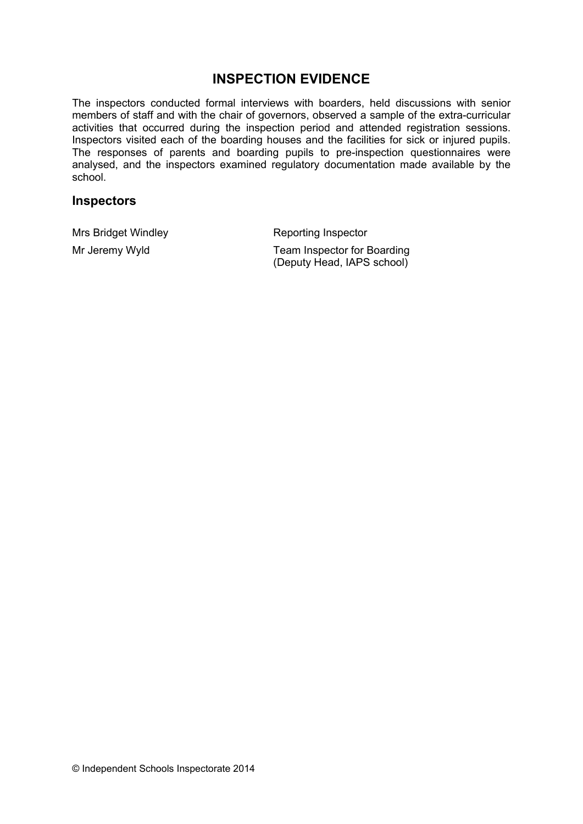## **INSPECTION EVIDENCE**

The inspectors conducted formal interviews with boarders, held discussions with senior members of staff and with the chair of governors, observed a sample of the extra-curricular activities that occurred during the inspection period and attended registration sessions. Inspectors visited each of the boarding houses and the facilities for sick or injured pupils. The responses of parents and boarding pupils to pre-inspection questionnaires were analysed, and the inspectors examined regulatory documentation made available by the school.

### **Inspectors**

Mrs Bridget Windley **Reporting Inspector** 

Mr Jeremy Wyld **Team Inspector for Boarding** (Deputy Head, IAPS school)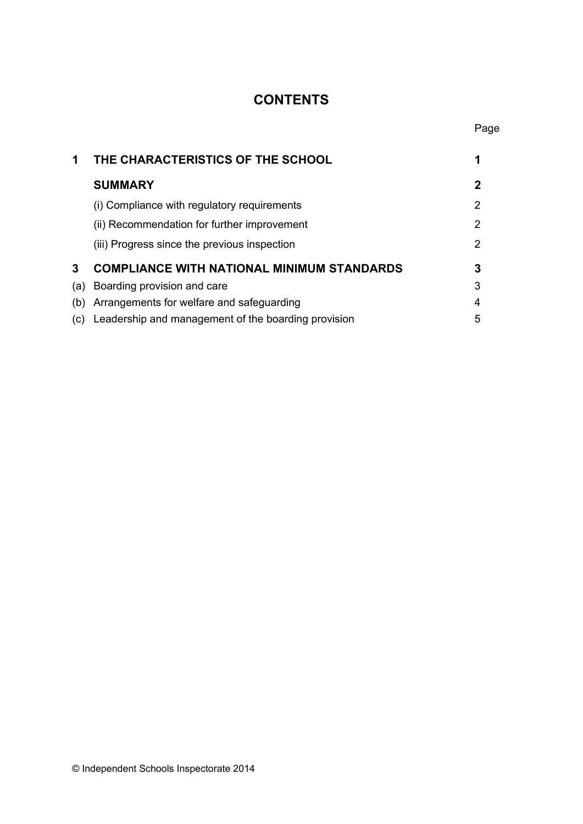## **CONTENTS**

| 1   | THE CHARACTERISTICS OF THE SCHOOL                   | 1 |
|-----|-----------------------------------------------------|---|
|     | <b>SUMMARY</b>                                      | 2 |
|     | (i) Compliance with regulatory requirements         | 2 |
|     | (ii) Recommendation for further improvement         | 2 |
|     | (iii) Progress since the previous inspection        | 2 |
| 3   | <b>COMPLIANCE WITH NATIONAL MINIMUM STANDARDS</b>   | 3 |
| (a) | Boarding provision and care                         | 3 |
| (b) | Arrangements for welfare and safeguarding           | 4 |
| (C) | Leadership and management of the boarding provision | 5 |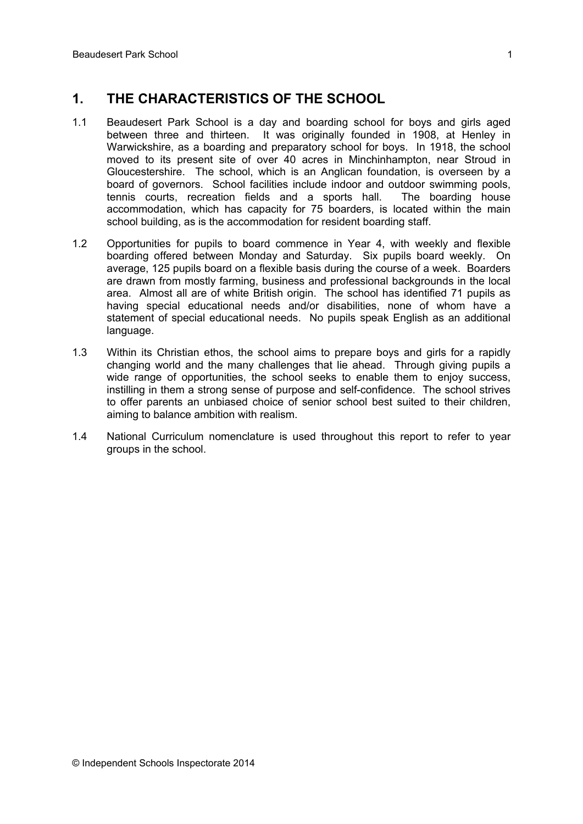## **1. THE CHARACTERISTICS OF THE SCHOOL**

- 1.1 Beaudesert Park School is a day and boarding school for boys and girls aged between three and thirteen. It was originally founded in 1908, at Henley in Warwickshire, as a boarding and preparatory school for boys. In 1918, the school moved to its present site of over 40 acres in Minchinhampton, near Stroud in Gloucestershire. The school, which is an Anglican foundation, is overseen by a board of governors. School facilities include indoor and outdoor swimming pools, tennis courts, recreation fields and a sports hall. The boarding house accommodation, which has capacity for 75 boarders, is located within the main school building, as is the accommodation for resident boarding staff.
- 1.2 Opportunities for pupils to board commence in Year 4, with weekly and flexible boarding offered between Monday and Saturday. Six pupils board weekly. On average, 125 pupils board on a flexible basis during the course of a week. Boarders are drawn from mostly farming, business and professional backgrounds in the local area. Almost all are of white British origin. The school has identified 71 pupils as having special educational needs and/or disabilities, none of whom have a statement of special educational needs. No pupils speak English as an additional language.
- 1.3 Within its Christian ethos, the school aims to prepare boys and girls for a rapidly changing world and the many challenges that lie ahead. Through giving pupils a wide range of opportunities, the school seeks to enable them to enjoy success, instilling in them a strong sense of purpose and self-confidence. The school strives to offer parents an unbiased choice of senior school best suited to their children, aiming to balance ambition with realism.
- 1.4 National Curriculum nomenclature is used throughout this report to refer to year groups in the school.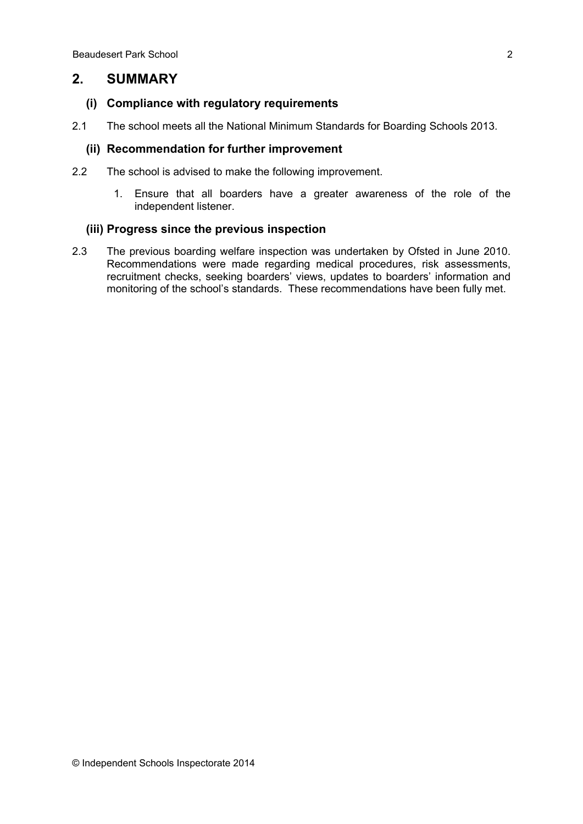## **2. SUMMARY**

#### **(i) Compliance with regulatory requirements**

2.1 The school meets all the National Minimum Standards for Boarding Schools 2013.

### **(ii) Recommendation for further improvement**

- 2.2 The school is advised to make the following improvement.
	- 1. Ensure that all boarders have a greater awareness of the role of the independent listener.

#### **(iii) Progress since the previous inspection**

2.3 The previous boarding welfare inspection was undertaken by Ofsted in June 2010. Recommendations were made regarding medical procedures, risk assessments, recruitment checks, seeking boarders' views, updates to boarders' information and monitoring of the school's standards. These recommendations have been fully met.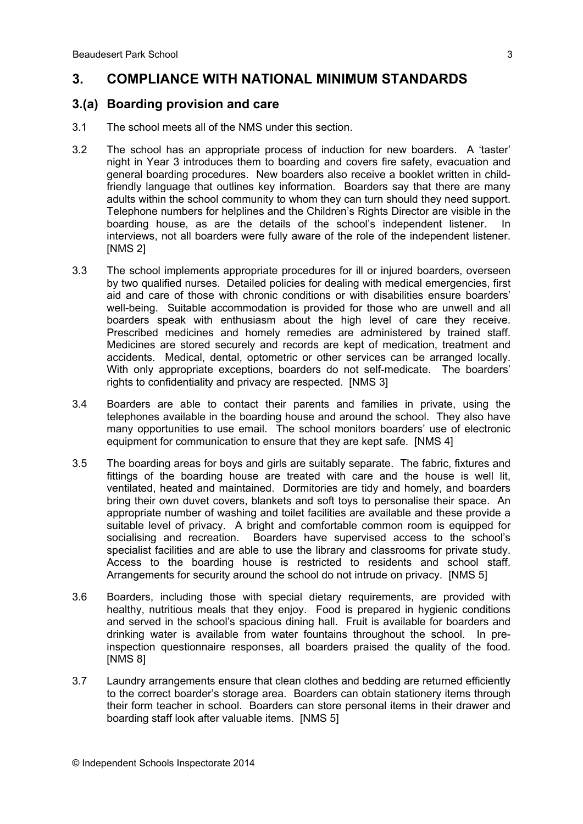## **3. COMPLIANCE WITH NATIONAL MINIMUM STANDARDS**

### **3.(a) Boarding provision and care**

- 3.1 The school meets all of the NMS under this section.
- 3.2 The school has an appropriate process of induction for new boarders. A 'taster' night in Year 3 introduces them to boarding and covers fire safety, evacuation and general boarding procedures. New boarders also receive a booklet written in childfriendly language that outlines key information. Boarders say that there are many adults within the school community to whom they can turn should they need support. Telephone numbers for helplines and the Children's Rights Director are visible in the boarding house, as are the details of the school's independent listener. In interviews, not all boarders were fully aware of the role of the independent listener. [NMS 2]
- 3.3 The school implements appropriate procedures for ill or injured boarders, overseen by two qualified nurses. Detailed policies for dealing with medical emergencies, first aid and care of those with chronic conditions or with disabilities ensure boarders' well-being. Suitable accommodation is provided for those who are unwell and all boarders speak with enthusiasm about the high level of care they receive. Prescribed medicines and homely remedies are administered by trained staff. Medicines are stored securely and records are kept of medication, treatment and accidents. Medical, dental, optometric or other services can be arranged locally. With only appropriate exceptions, boarders do not self-medicate. The boarders' rights to confidentiality and privacy are respected. [NMS 3]
- 3.4 Boarders are able to contact their parents and families in private, using the telephones available in the boarding house and around the school. They also have many opportunities to use email. The school monitors boarders' use of electronic equipment for communication to ensure that they are kept safe. [NMS 4]
- 3.5 The boarding areas for boys and girls are suitably separate. The fabric, fixtures and fittings of the boarding house are treated with care and the house is well lit, ventilated, heated and maintained. Dormitories are tidy and homely, and boarders bring their own duvet covers, blankets and soft toys to personalise their space. An appropriate number of washing and toilet facilities are available and these provide a suitable level of privacy. A bright and comfortable common room is equipped for socialising and recreation. Boarders have supervised access to the school's specialist facilities and are able to use the library and classrooms for private study. Access to the boarding house is restricted to residents and school staff. Arrangements for security around the school do not intrude on privacy. [NMS 5]
- 3.6 Boarders, including those with special dietary requirements, are provided with healthy, nutritious meals that they enjoy. Food is prepared in hygienic conditions and served in the school's spacious dining hall. Fruit is available for boarders and drinking water is available from water fountains throughout the school. In preinspection questionnaire responses, all boarders praised the quality of the food. **INMS 81**
- 3.7 Laundry arrangements ensure that clean clothes and bedding are returned efficiently to the correct boarder's storage area. Boarders can obtain stationery items through their form teacher in school. Boarders can store personal items in their drawer and boarding staff look after valuable items. [NMS 5]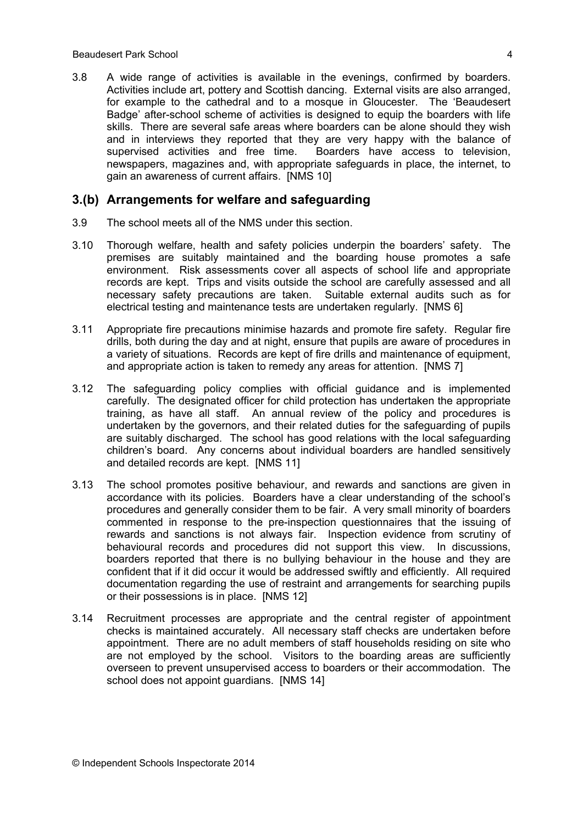3.8 A wide range of activities is available in the evenings, confirmed by boarders. Activities include art, pottery and Scottish dancing. External visits are also arranged, for example to the cathedral and to a mosque in Gloucester. The 'Beaudesert Badge' after-school scheme of activities is designed to equip the boarders with life skills. There are several safe areas where boarders can be alone should they wish and in interviews they reported that they are very happy with the balance of supervised activities and free time. Boarders have access to television, newspapers, magazines and, with appropriate safeguards in place, the internet, to gain an awareness of current affairs. [NMS 10]

#### **3.(b) Arrangements for welfare and safeguarding**

- 3.9 The school meets all of the NMS under this section.
- 3.10 Thorough welfare, health and safety policies underpin the boarders' safety. The premises are suitably maintained and the boarding house promotes a safe environment. Risk assessments cover all aspects of school life and appropriate records are kept. Trips and visits outside the school are carefully assessed and all necessary safety precautions are taken. Suitable external audits such as for electrical testing and maintenance tests are undertaken regularly. [NMS 6]
- 3.11 Appropriate fire precautions minimise hazards and promote fire safety. Regular fire drills, both during the day and at night, ensure that pupils are aware of procedures in a variety of situations. Records are kept of fire drills and maintenance of equipment, and appropriate action is taken to remedy any areas for attention. [NMS 7]
- 3.12 The safeguarding policy complies with official guidance and is implemented carefully. The designated officer for child protection has undertaken the appropriate training, as have all staff. An annual review of the policy and procedures is undertaken by the governors, and their related duties for the safeguarding of pupils are suitably discharged. The school has good relations with the local safeguarding children's board. Any concerns about individual boarders are handled sensitively and detailed records are kept. [NMS 11]
- 3.13 The school promotes positive behaviour, and rewards and sanctions are given in accordance with its policies. Boarders have a clear understanding of the school's procedures and generally consider them to be fair. A very small minority of boarders commented in response to the pre-inspection questionnaires that the issuing of rewards and sanctions is not always fair. Inspection evidence from scrutiny of behavioural records and procedures did not support this view. In discussions, boarders reported that there is no bullying behaviour in the house and they are confident that if it did occur it would be addressed swiftly and efficiently. All required documentation regarding the use of restraint and arrangements for searching pupils or their possessions is in place. [NMS 12]
- 3.14 Recruitment processes are appropriate and the central register of appointment checks is maintained accurately. All necessary staff checks are undertaken before appointment. There are no adult members of staff households residing on site who are not employed by the school. Visitors to the boarding areas are sufficiently overseen to prevent unsupervised access to boarders or their accommodation. The school does not appoint quardians. [NMS 14]